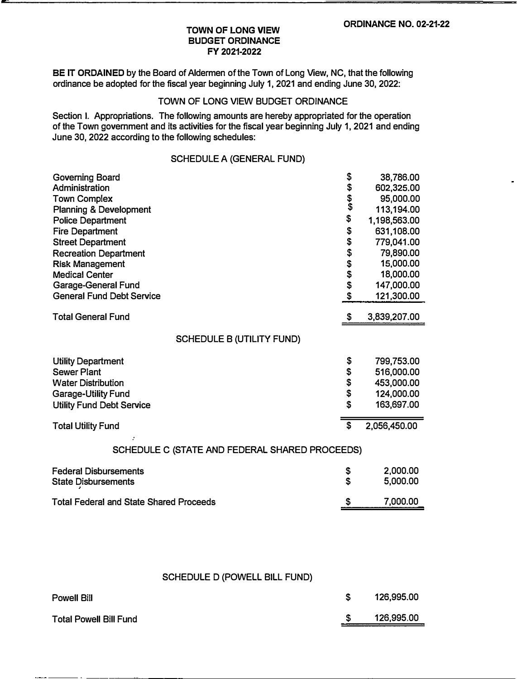#### **TOWN OF LONG VIEW BUDGET ORDINANCE FY 2021-2022**

**BE IT ORDAINED** by the Board of Aldermen of the Town of Long View, NC, that the following ordinance be adopted for the fiscal year beginning July 1, 2021 and ending June 30, 2022:

## TOWN OF LONG VIEW BUDGET ORDINANCE

Section I. Appropriations. The following amounts are hereby appropriated for the operation of the Town government and its activities for the fiscal year beginning July 1, 2021 and ending June 30, 2022 according to the following schedules:

### SCHEDULE A (GENERAL FUND)

| <b>Governing Board</b>                         | \$                        | 38,786.00    |
|------------------------------------------------|---------------------------|--------------|
| Administration                                 |                           | 602,325.00   |
| <b>Town Complex</b>                            | \$\$\$                    | 95,000.00    |
| <b>Planning &amp; Development</b>              |                           | 113,194.00   |
| <b>Police Department</b>                       | \$                        | 1,198,563.00 |
| <b>Fire Department</b>                         |                           | 631,108.00   |
| <b>Street Department</b>                       | \$\$\$\$\$\$\$            | 779,041.00   |
| <b>Recreation Department</b>                   |                           | 79,890.00    |
| <b>Risk Management</b>                         |                           | 15,000.00    |
| <b>Medical Center</b>                          |                           | 18,000.00    |
| <b>Garage-General Fund</b>                     |                           | 147,000.00   |
| <b>General Fund Debt Service</b>               | \$                        | 121,300.00   |
| <b>Total General Fund</b>                      | \$                        | 3,839,207.00 |
|                                                |                           |              |
| <b>SCHEDULE B (UTILITY FUND)</b>               |                           |              |
| <b>Utility Department</b>                      | \$                        | 799,753.00   |
| <b>Sewer Plant</b>                             | \$                        | 516,000.00   |
| <b>Water Distribution</b>                      |                           | 453,000.00   |
| <b>Garage-Utility Fund</b>                     | \$<br>\$                  | 124,000.00   |
| <b>Utility Fund Debt Service</b>               | \$                        | 163,697.00   |
| <b>Total Utility Fund</b>                      | $\boldsymbol{\mathsf{s}}$ | 2,056,450.00 |
| SCHEDULE C (STATE AND FEDERAL SHARED PROCEEDS) |                           |              |
| <b>Federal Disbursements</b>                   | \$                        | 2,000.00     |
| <b>State Disbursements</b>                     | $\mathbf S$               | 5,000.00     |
| <b>Total Federal and State Shared Proceeds</b> |                           | 7,000.00     |
|                                                |                           |              |

# SCHEDULE D (POWELL BILL FUND)

| Powell Bill                   | 126,995.00 |
|-------------------------------|------------|
| <b>Total Powell Bill Fund</b> | 126,995.00 |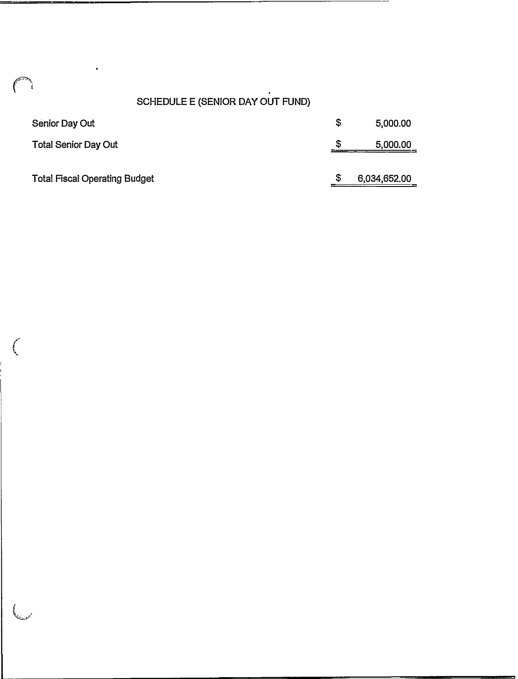# SCHEDULE E (SENIOR DAY OUT FUND)

| Senior Day Out                       | \$<br>5,000.00 |
|--------------------------------------|----------------|
| <b>Total Senior Day Out</b>          | \$<br>5,000.00 |
| <b>Total Fiscal Operating Budget</b> | 6,034,652.00   |

 $\epsilon$ 

į.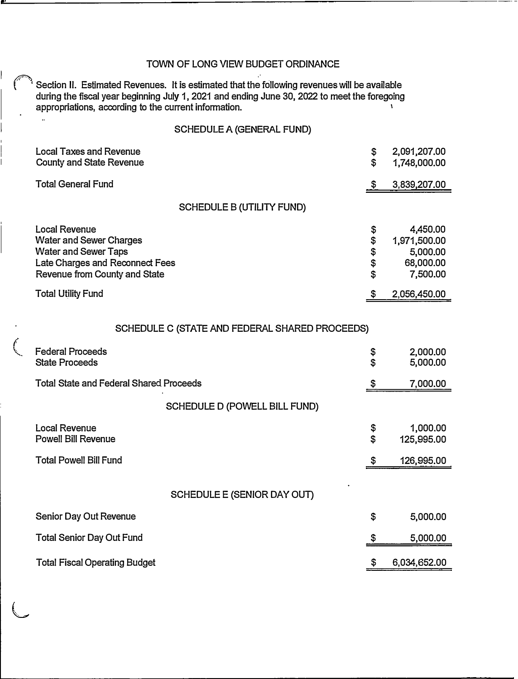#### TOWN OF LONG VIEW BUDGET ORDINANCE

Section II. Estimated Revenues. It is estimated that the following revenues will be available during the fiscal year beginning July 1, 2021 and ending June 30, 2022 to meet the foregoing<br>appropriations, according to the current information appropriations, according to the current information.

# SCHEDULE A (GENERAL FUND)

| <b>Local Taxes and Revenue</b><br><b>County and State Revenue</b>                                                                                         | \$<br>\$                   | 2,091,207.00<br>1,748,000.00                                  |
|-----------------------------------------------------------------------------------------------------------------------------------------------------------|----------------------------|---------------------------------------------------------------|
| <b>Total General Fund</b>                                                                                                                                 |                            | 3,839,207.00                                                  |
| <b>SCHEDULE B (UTILITY FUND)</b>                                                                                                                          |                            |                                                               |
| <b>Local Revenue</b><br><b>Water and Sewer Charges</b><br><b>Water and Sewer Taps</b><br>Late Charges and Reconnect Fees<br>Revenue from County and State | \$<br>\$<br>\$<br>\$<br>\$ | 4,450.00<br>1,971,500.00<br>5,000.00<br>68,000.00<br>7,500.00 |
| <b>Total Utility Fund</b>                                                                                                                                 |                            | 2,056,450.00                                                  |

# SCHEDULE C (STATE AND FEDERAL SHARED PROCEEDS)

| <b>Federal Proceeds</b><br><b>State Proceeds</b> | \$<br>\$ | 2,000.00<br>5,000.00   |
|--------------------------------------------------|----------|------------------------|
| <b>Total State and Federal Shared Proceeds</b>   |          | 7,000.00               |
| <b>SCHEDULE D (POWELL BILL FUND)</b>             |          |                        |
| Local Revenue<br><b>Powell Bill Revenue</b>      | \$<br>\$ | 1,000.00<br>125,995.00 |
| <b>Total Powell Bill Fund</b>                    | S        | 126,995.00             |
| <b>SCHEDULE E (SENIOR DAY OUT)</b>               |          |                        |
| Senior Day Out Revenue                           | \$       | 5,000.00               |
| <b>Total Senior Day Out Fund</b>                 |          | 5,000.00               |
| <b>Total Fiscal Operating Budget</b>             | \$       | 6,034,652.00           |

 $\overline{\mathbb{C}}$ 

 $\ddot{\phantom{a}}$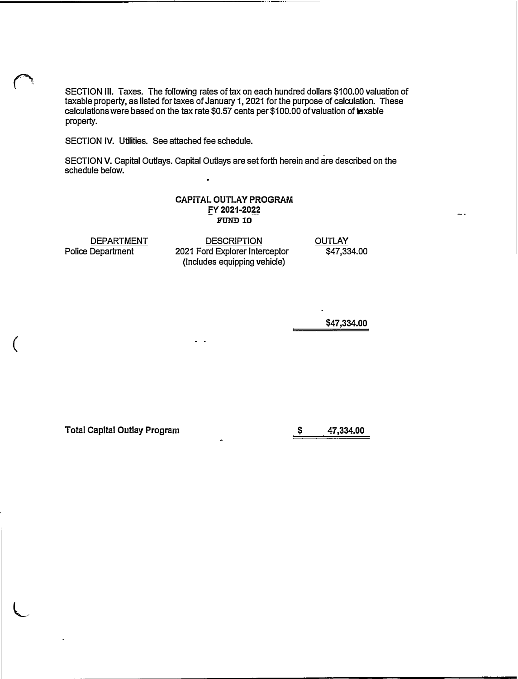SECTION Ill. Taxes. The following rates of tax on each hundred dollars \$100.00 valuation of taxable property, as listed for taxes of January 1, 2021 for the purpose of calculation. These calculations were based on the tax rate \$0.57 cents per \$100.00 of valuation of taxable property.

SECTION IV. Utilities. See attached fee schedule.

SECTION V. Capital Outlays. Capital Outlays are set forth herein and are described on the schedule below.

#### **CAPITAL OUTLAY PROGRAM**  -**FY 2021-2022**  --- FUND 10

**DEPARTMENT** Police Department

(

**L** 

**DESCRIPTION** 2021 Ford Explorer Interceptor (Includes equipping vehicle)

 $\sim$ 

**OUTLAY** \$47,334.00

**\$47,334.00** 

**Total Capital Outlay Program \$** 

**47,334.00**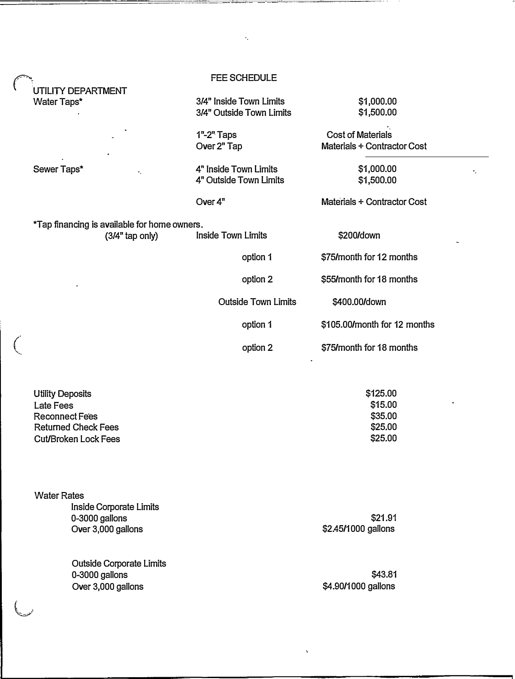|         |                                                                                                                            | <b>FEE SCHEDULE</b>                                 |                                                         |
|---------|----------------------------------------------------------------------------------------------------------------------------|-----------------------------------------------------|---------------------------------------------------------|
|         | UTILITY DEPARTMENT<br>Water Taps*                                                                                          | 3/4" Inside Town Limits<br>3/4" Outside Town Limits | \$1,000.00<br>\$1,500.00                                |
|         |                                                                                                                            | $1"$ -2" Taps<br>Over 2" Tap                        | <b>Cost of Materials</b><br>Materials + Contractor Cost |
|         | Sewer Taps*<br>٠.                                                                                                          | 4" Inside Town Limits<br>4" Outside Town Limits     | \$1,000.00<br>\$1,500.00                                |
|         |                                                                                                                            | Over $4n$                                           | Materials + Contractor Cost                             |
|         | *Tap financing is available for home owners.<br>$(3/4"$ tap only)                                                          | <b>Inside Town Limits</b>                           | \$200/down                                              |
|         |                                                                                                                            | option 1                                            | \$75/month for 12 months                                |
|         |                                                                                                                            | option 2                                            | \$55/month for 18 months                                |
|         |                                                                                                                            | <b>Outside Town Limits</b>                          | \$400.00/down                                           |
|         |                                                                                                                            | option 1                                            | \$105.00/month for 12 months                            |
| $\big($ |                                                                                                                            | option 2                                            | \$75/month for 18 months                                |
|         | <b>Utility Deposits</b><br>Late Fees<br><b>Reconnect Fees</b><br><b>Returned Check Fees</b><br><b>Cut/Broken Lock Fees</b> |                                                     | \$125.00<br>\$15.00<br>\$35.00<br>\$25.00<br>\$25.00    |
|         | <b>Water Rates</b><br>Inside Corporate Limits<br>0-3000 gallons<br>Over 3,000 gallons                                      |                                                     | \$21.91<br>\$2.45/1000 gallons                          |
|         | <b>Outside Corporate Limits</b><br>0-3000 gallons<br>Over 3,000 gallons                                                    |                                                     | \$43.81<br>\$4.90/1000 gallons                          |

 $\ddot{\cdot}$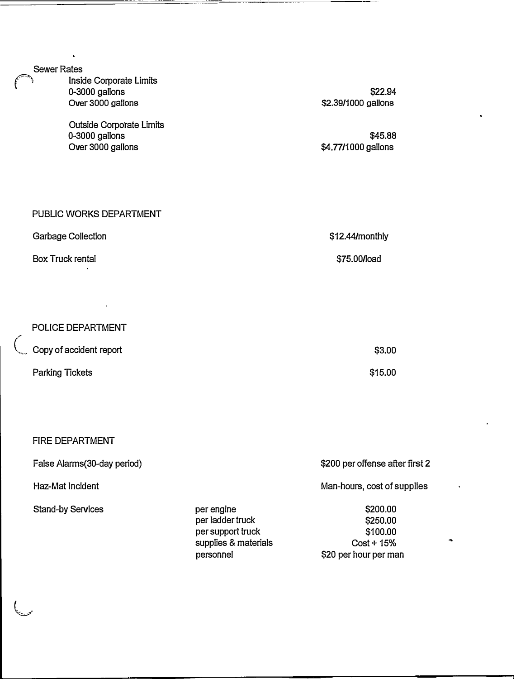Sewer Rates

Inside Corporate Limits 0-3000 gallons Over 3000 gallons

Outside Corporate Limits 0-3000 gallons Over 3000 gallons

\$22.94 \$2.39/1000 gallons

\$45.88 \$4.77/1000 gallons

| PUBLIC WORKS DEPARTMENT   |                   |
|---------------------------|-------------------|
| <b>Garbage Collection</b> | $$12.44/m$ onthly |
| <b>Box Truck rental</b>   | \$75.00/load      |

POLICE DEPARTMENT Copy of accident report Parking Tickets \$3.00 \$15.00

#### FIRE DEPARTMENT

False Alarms(30-day period)

Haz-Mat Incident

Stand-by Services **per engine** 

محمت

per ladder truck per support truck supplies & materials personnel

\$200 per offense after first 2

Man-hours, cost of supplies

\$200.00 \$250.00 \$100.00  $Cost + 15%$ \$20 per hour per man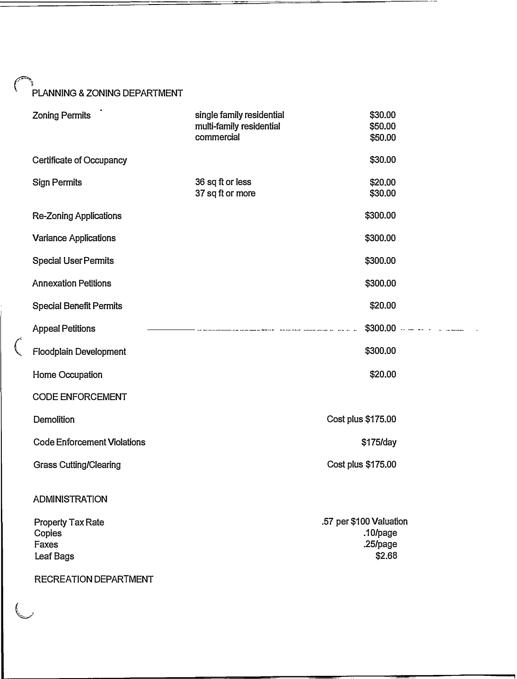# {''PLANNING & ZONING DEPARTMENT

| <b>Zoning Permits</b>                                                             | single family residential<br>multi-family residential<br>commercial | \$30.00<br>\$50.00<br>\$50.00                             |
|-----------------------------------------------------------------------------------|---------------------------------------------------------------------|-----------------------------------------------------------|
| Certificate of Occupancy                                                          |                                                                     | \$30.00                                                   |
| <b>Sign Permits</b>                                                               | 36 sq ft or less<br>37 sq ft or more                                | \$20.00<br>\$30.00                                        |
| <b>Re-Zoning Applications</b>                                                     |                                                                     | \$300.00                                                  |
| <b>Variance Applications</b>                                                      |                                                                     | \$300.00                                                  |
| <b>Special User Permits</b>                                                       |                                                                     | \$300.00                                                  |
| <b>Annexation Petitions</b>                                                       |                                                                     | \$300.00                                                  |
| <b>Special Benefit Permits</b>                                                    |                                                                     | \$20.00                                                   |
| <b>Appeal Petitions</b>                                                           |                                                                     |                                                           |
| Floodplain Development                                                            |                                                                     | \$300.00                                                  |
| Home Occupation                                                                   |                                                                     | \$20.00                                                   |
| <b>CODE ENFORCEMENT</b>                                                           |                                                                     |                                                           |
| Demolition                                                                        |                                                                     | Cost plus \$175.00                                        |
| <b>Code Enforcement Violations</b>                                                |                                                                     | \$175/day                                                 |
| <b>Grass Cutting/Clearing</b>                                                     |                                                                     | Cost plus \$175.00                                        |
| <b>ADMINISTRATION</b>                                                             |                                                                     |                                                           |
| <b>Property Tax Rate</b><br>Copies<br>Faxes<br>Leaf Bags<br>RECREATION DEPARTMENT |                                                                     | .57 per \$100 Valuation<br>.10/page<br>.25/page<br>\$2.68 |
|                                                                                   |                                                                     |                                                           |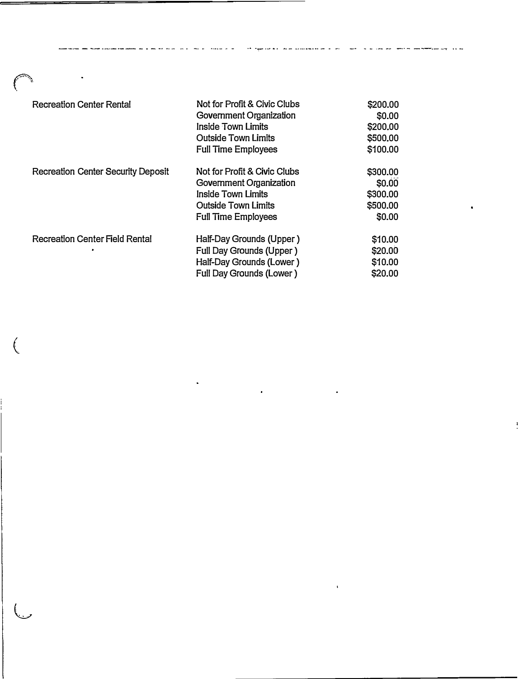| <b>Recreation Center Rental</b>           | Not for Profit & Civic Clubs<br>Government Organization<br>Inside Town Limits<br><b>Outside Town Limits</b><br><b>Full Time Employees</b> | \$200.00<br>\$0.00<br>\$200.00<br>\$500.00<br>\$100.00 |
|-------------------------------------------|-------------------------------------------------------------------------------------------------------------------------------------------|--------------------------------------------------------|
| <b>Recreation Center Security Deposit</b> | Not for Profit & Civic Clubs<br>Government Organization<br>Inside Town Limits<br><b>Outside Town Limits</b><br><b>Full Time Employees</b> | \$300.00<br>\$0.00<br>\$300.00<br>\$500.00<br>\$0.00   |
| <b>Recreation Center Field Rental</b>     | Half-Day Grounds (Upper)<br><b>Full Day Grounds (Upper)</b><br>Half-Day Grounds (Lower)<br>Full Day Grounds (Lower)                       | \$10.00<br>\$20.00<br>\$10.00<br>\$20.00               |

--•----•-•--•------ •-•· --• •• •- • -• - ••••- .- - ... • .

بداووا الإمام المورد المسلم المدين المدين المدارسة المدينة المدين المدين المدينة الموضوع والمدينة المدينة المدينة

 $\mathbf{r}^{(1)}$  .

 $\sim 40\%$ 

 $\bullet$ 

 $\left($ 

 $\hat{\mathcal{L}}$ 

 $\overline{\mathbb{C}}$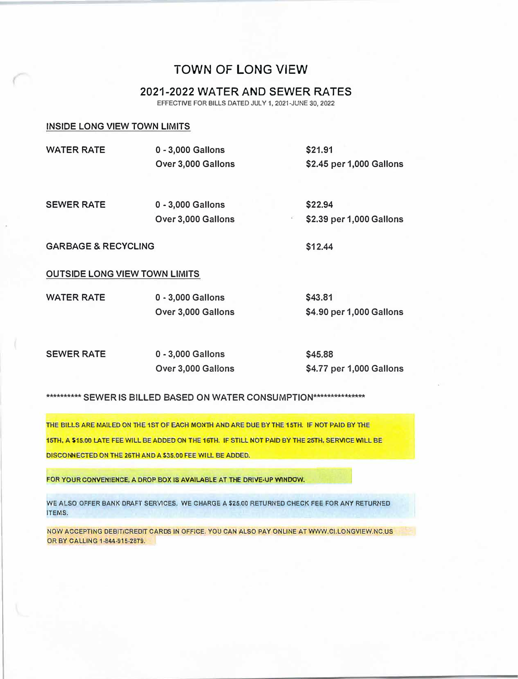# TOWN OF LONG VIEW

# 2021-2022 WATER AND SEWER RATES

**EFFECTIVE FOR BILLS DATED JULY 1, 2021-JUNE 30, 2022** 

#### **INSIDE LONG VIEW TOWN LIMITS**

| <b>WATER RATE</b> | 0 - 3,000 Gallons  | \$21.91                  |
|-------------------|--------------------|--------------------------|
|                   | Over 3,000 Gallons | \$2.45 per 1,000 Gallons |
|                   |                    |                          |
| <b>SEWER RATE</b> | 0 - 3,000 Gallons  | \$22.94                  |

**GARBAGE & RECYCLING** 

**Over 3,000 Gallons** 

**\$12.44** 

#### **OUTSIDE LONG VIEW TOWN LIMITS**

| <b>WATER RATE</b> | 0 - 3,000 Gallons  | \$43.81                  |
|-------------------|--------------------|--------------------------|
|                   | Over 3,000 Gallons | \$4.90 per 1,000 Gallons |

**SEWER RATE** 

**0 - 3,000 Gallons Over 3,000 Gallons**  **\$45.88 \$4.77 per 1,000 Gallons** 

**\$2.39 per 1,000 Gallons** 

#### \*\*\*\*\*\*\*\*\*\* SEWER IS BILLED BASED ON WATER CONSUMPTION\*\*\*\*\*\*\*\*\*\*\*\*\*\*\*\*

**THE BILLS ARE MAILED ON THE 1ST OF EACH MONTH AND ARE DUE BY THE 15TH. IF NOT PAID BY THE 15TH, A \$15.00 LATE FEE WILL BE ADDED ON THE 16TH. IF ST1U NOT PAID BY THE 25TH, SERVICE WILL BE DISCONNECTED ON THE 26TH AND A \$35.00 FEE WILL BE ADDED.** 

**FOR YOUR CONVENIENCE, A DROP BOX IS AVAILABLE AT THE DRIVE-UP WINDOW.** 

**WE ALSO OFFER BANK DRAFT SERVICES. WE CHARGE A \$25.00 RETURNED CHECK FEE FOR ANY RETURNED ITEMS.** 

**NOW ACCEPTING DEBIT/CREDIT CARDS IN OFFICE. YOU CAN ALSO PAY ONLINE AT WWW.Cl.LONGVIEW.NC.US OR BY CALLING 1-844-915-2879.**